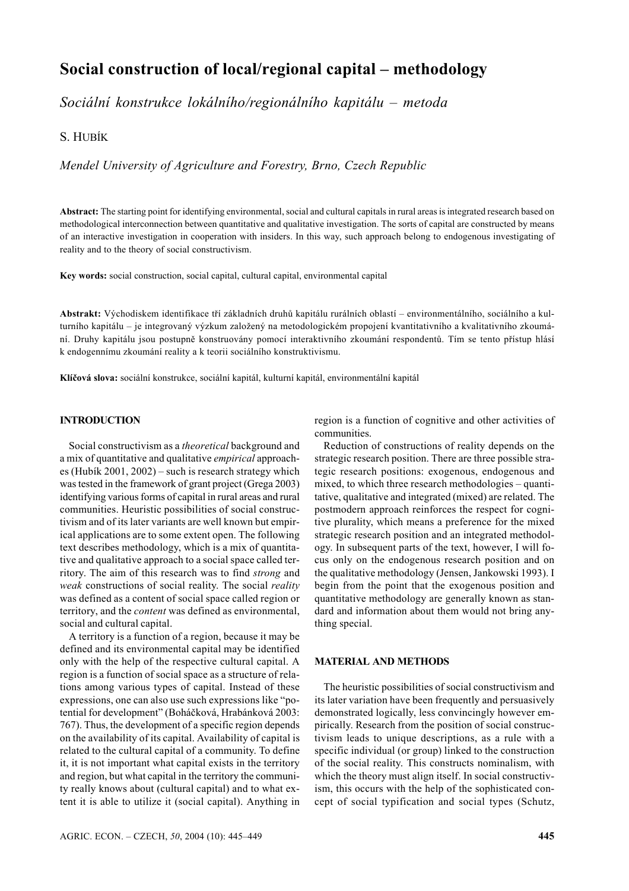# **Social construction of local/regional capital – methodology**

*Sociální konstrukce lokálního/regionálního kapitálu – metoda*

S. HUBÍK

*Mendel University of Agriculture and Forestry, Brno, Czech Republic*

**Abstract:** The starting point for identifying environmental, social and cultural capitals in rural areas is integrated research based on methodological interconnection between quantitative and qualitative investigation. The sorts of capital are constructed by means of an interactive investigation in cooperation with insiders. In this way, such approach belong to endogenous investigating of reality and to the theory of social constructivism.

**Key words:** social construction, social capital, cultural capital, environmental capital

**Abstrakt:** Východiskem identifikace tří základních druhů kapitálu rurálních oblastí – environmentálního, sociálního a kulturního kapitálu – je integrovaný výzkum založený na metodologickém propojení kvantitativního a kvalitativního zkoumání. Druhy kapitálu jsou postupně konstruovány pomocí interaktivního zkoumání respondentů. Tím se tento přístup hlásí k endogennímu zkoumání reality a k teorii sociálního konstruktivismu.

**Klíčová slova:** sociální konstrukce, sociální kapitál, kulturní kapitál, environmentální kapitál

# **INTRODUCTION**

Social constructivism as a *theoretical* background and a mix of quantitative and qualitative *empirical* approaches (Hubík 2001, 2002) – such is research strategy which was tested in the framework of grant project (Grega 2003) identifying various forms of capital in rural areas and rural communities. Heuristic possibilities of social constructivism and of its later variants are well known but empirical applications are to some extent open. The following text describes methodology, which is a mix of quantitative and qualitative approach to a social space called territory. The aim of this research was to find *strong* and *weak* constructions of social reality. The social *reality* was defined as a content of social space called region or territory, and the *content* was defined as environmental, social and cultural capital.

A territory is a function of a region, because it may be defined and its environmental capital may be identified only with the help of the respective cultural capital. A region is a function of social space as a structure of relations among various types of capital. Instead of these expressions, one can also use such expressions like "potential for development" (Boháčková, Hrabánková 2003: 767). Thus, the development of a specific region depends on the availability of its capital. Availability of capital is related to the cultural capital of a community. To define it, it is not important what capital exists in the territory and region, but what capital in the territory the community really knows about (cultural capital) and to what extent it is able to utilize it (social capital). Anything in region is a function of cognitive and other activities of communities.

Reduction of constructions of reality depends on the strategic research position. There are three possible strategic research positions: exogenous, endogenous and mixed, to which three research methodologies – quantitative, qualitative and integrated (mixed) are related. The postmodern approach reinforces the respect for cognitive plurality, which means a preference for the mixed strategic research position and an integrated methodology. In subsequent parts of the text, however, I will focus only on the endogenous research position and on the qualitative methodology (Jensen, Jankowski 1993). I begin from the point that the exogenous position and quantitative methodology are generally known as standard and information about them would not bring anything special.

#### **MATERIAL AND METHODS**

The heuristic possibilities of social constructivism and its later variation have been frequently and persuasively demonstrated logically, less convincingly however empirically. Research from the position of social constructivism leads to unique descriptions, as a rule with a specific individual (or group) linked to the construction of the social reality. This constructs nominalism, with which the theory must align itself. In social constructivism, this occurs with the help of the sophisticated concept of social typification and social types (Schutz,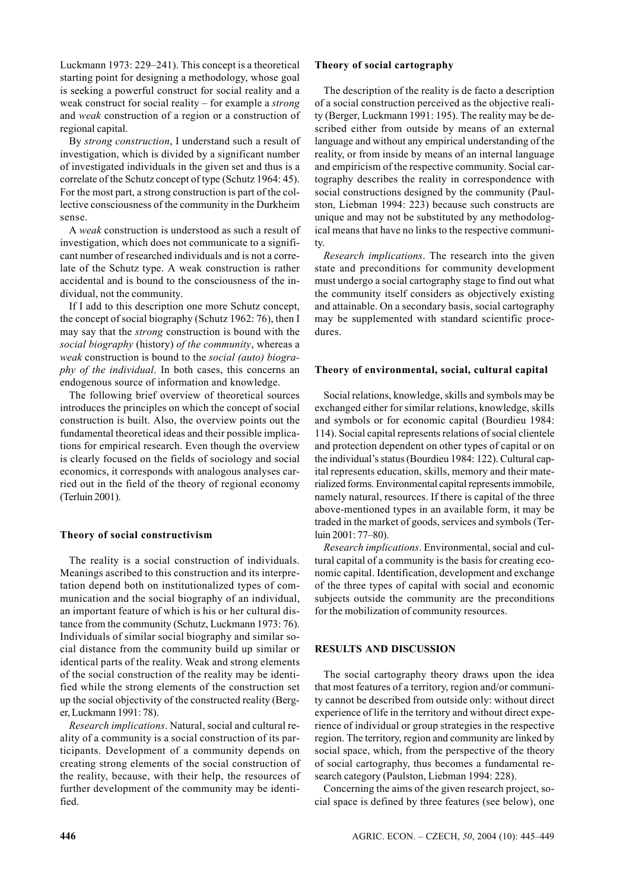Luckmann 1973: 229–241). This concept is a theoretical starting point for designing a methodology, whose goal is seeking a powerful construct for social reality and a weak construct for social reality – for example a *strong* and *weak* construction of a region or a construction of regional capital.

By *strong construction*, I understand such a result of investigation, which is divided by a significant number of investigated individuals in the given set and thus is a correlate of the Schutz concept of type (Schutz 1964: 45). For the most part, a strong construction is part of the collective consciousness of the community in the Durkheim sense.

A *weak* construction is understood as such a result of investigation, which does not communicate to a significant number of researched individuals and is not a correlate of the Schutz type. A weak construction is rather accidental and is bound to the consciousness of the individual, not the community.

If I add to this description one more Schutz concept, the concept of social biography (Schutz 1962: 76), then I may say that the *strong* construction is bound with the *social biography* (history) *of the community*, whereas a *weak* construction is bound to the *social (auto) biography of the individual*. In both cases, this concerns an endogenous source of information and knowledge.

The following brief overview of theoretical sources introduces the principles on which the concept of social construction is built. Also, the overview points out the fundamental theoretical ideas and their possible implications for empirical research. Even though the overview is clearly focused on the fields of sociology and social economics, it corresponds with analogous analyses carried out in the field of the theory of regional economy (Terluin 2001).

## **Theory of social constructivism**

The reality is a social construction of individuals. Meanings ascribed to this construction and its interpretation depend both on institutionalized types of communication and the social biography of an individual, an important feature of which is his or her cultural distance from the community (Schutz, Luckmann 1973: 76). Individuals of similar social biography and similar social distance from the community build up similar or identical parts of the reality. Weak and strong elements of the social construction of the reality may be identified while the strong elements of the construction set up the social objectivity of the constructed reality (Berger, Luckmann 1991: 78).

*Research implications*. Natural, social and cultural reality of a community is a social construction of its participants. Development of a community depends on creating strong elements of the social construction of the reality, because, with their help, the resources of further development of the community may be identified.

## **Theory of social cartography**

The description of the reality is de facto a description of a social construction perceived as the objective reality (Berger, Luckmann 1991: 195). The reality may be described either from outside by means of an external language and without any empirical understanding of the reality, or from inside by means of an internal language and empiricism of the respective community. Social cartography describes the reality in correspondence with social constructions designed by the community (Paulston, Liebman 1994: 223) because such constructs are unique and may not be substituted by any methodological means that have no links to the respective community.

*Research implications*. The research into the given state and preconditions for community development must undergo a social cartography stage to find out what the community itself considers as objectively existing and attainable. On a secondary basis, social cartography may be supplemented with standard scientific procedures.

## **Theory of environmental, social, cultural capital**

Social relations, knowledge, skills and symbols may be exchanged either for similar relations, knowledge, skills and symbols or for economic capital (Bourdieu 1984: 114). Social capital represents relations of social clientele and protection dependent on other types of capital or on the individual's status (Bourdieu 1984: 122). Cultural capital represents education, skills, memory and their materialized forms. Environmental capital represents immobile, namely natural, resources. If there is capital of the three above-mentioned types in an available form, it may be traded in the market of goods, services and symbols (Terluin 2001: 77–80).

*Research implications*. Environmental, social and cultural capital of a community is the basis for creating economic capital. Identification, development and exchange of the three types of capital with social and economic subjects outside the community are the preconditions for the mobilization of community resources.

#### **RESULTS AND DISCUSSION**

The social cartography theory draws upon the idea that most features of a territory, region and/or community cannot be described from outside only: without direct experience of life in the territory and without direct experience of individual or group strategies in the respective region. The territory, region and community are linked by social space, which, from the perspective of the theory of social cartography, thus becomes a fundamental research category (Paulston, Liebman 1994: 228).

Concerning the aims of the given research project, social space is defined by three features (see below), one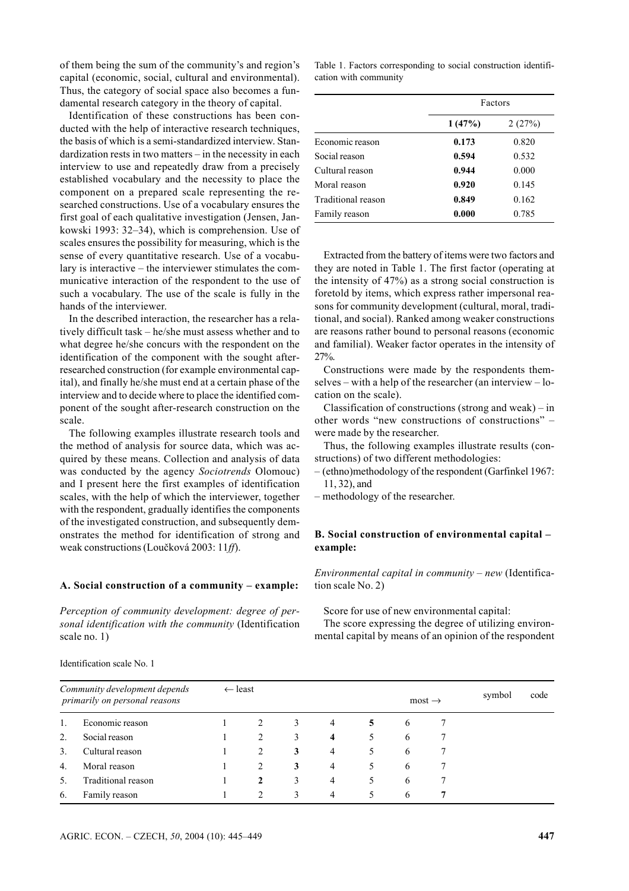of them being the sum of the community's and region's capital (economic, social, cultural and environmental). Thus, the category of social space also becomes a fundamental research category in the theory of capital.

Identification of these constructions has been conducted with the help of interactive research techniques, the basis of which is a semi-standardized interview. Standardization rests in two matters – in the necessity in each interview to use and repeatedly draw from a precisely established vocabulary and the necessity to place the component on a prepared scale representing the researched constructions. Use of a vocabulary ensures the first goal of each qualitative investigation (Jensen, Jankowski 1993: 32–34), which is comprehension. Use of scales ensures the possibility for measuring, which is the sense of every quantitative research. Use of a vocabulary is interactive – the interviewer stimulates the communicative interaction of the respondent to the use of such a vocabulary. The use of the scale is fully in the hands of the interviewer.

In the described interaction, the researcher has a relatively difficult task – he/she must assess whether and to what degree he/she concurs with the respondent on the identification of the component with the sought afterresearched construction (for example environmental capital), and finally he/she must end at a certain phase of the interview and to decide where to place the identified component of the sought after-research construction on the scale.

The following examples illustrate research tools and the method of analysis for source data, which was acquired by these means. Collection and analysis of data was conducted by the agency *Sociotrends* Olomouc) and I present here the first examples of identification scales, with the help of which the interviewer, together with the respondent, gradually identifies the components of the investigated construction, and subsequently demonstrates the method for identification of strong and weak constructions (Loučková 2003: 11*ff*).

#### **A. Social construction of a community – example:**

*Perception of community development: degree of personal identification with the community* (Identification scale no. 1)

Table 1. Factors corresponding to social construction identification with community

|                    | Factors |        |  |  |  |
|--------------------|---------|--------|--|--|--|
|                    | 1(47%)  | 2(27%) |  |  |  |
| Economic reason    | 0.173   | 0.820  |  |  |  |
| Social reason      | 0.594   | 0.532  |  |  |  |
| Cultural reason    | 0.944   | 0.000  |  |  |  |
| Moral reason       | 0.920   | 0.145  |  |  |  |
| Traditional reason | 0.849   | 0.162  |  |  |  |
| Family reason      | 0.000   | 0.785  |  |  |  |

Extracted from the battery of items were two factors and they are noted in Table 1. The first factor (operating at the intensity of 47%) as a strong social construction is foretold by items, which express rather impersonal reasons for community development (cultural, moral, traditional, and social). Ranked among weaker constructions are reasons rather bound to personal reasons (economic and familial). Weaker factor operates in the intensity of 27%.

Constructions were made by the respondents themselves – with a help of the researcher (an interview – location on the scale).

Classification of constructions (strong and weak) – in other words "new constructions of constructions" – were made by the researcher.

Thus, the following examples illustrate results (constructions) of two different methodologies:

- (ethno)methodology of the respondent (Garfinkel 1967: 11, 32), and
- methodology of the researcher.

# **B. Social construction of environmental capital – example:**

*Environmental capital in community – new* (Identification scale No. 2)

Score for use of new environmental capital:

The score expressing the degree of utilizing environmental capital by means of an opinion of the respondent

|    | Community development depends<br>primarily on personal reasons | $\leftarrow$ least |                |   |   | $most \rightarrow$ |   | symbol | code |  |
|----|----------------------------------------------------------------|--------------------|----------------|---|---|--------------------|---|--------|------|--|
|    | Economic reason                                                |                    |                | 3 | 4 | 5                  | 6 |        |      |  |
| 2. | Social reason                                                  |                    | $\overline{c}$ | 3 | 4 | 5                  | 6 |        |      |  |
| 3. | Cultural reason                                                |                    | $\overline{c}$ | 3 | 4 | 5                  | 6 | 7      |      |  |
| 4. | Moral reason                                                   |                    | 2              | 3 | 4 | 5                  | 6 |        |      |  |
| 5. | Traditional reason                                             |                    | 2              | 3 | 4 | 5.                 | 6 |        |      |  |
| 6. | Family reason                                                  |                    | $\overline{2}$ | 3 | 4 | 5                  | 6 | 7      |      |  |

Identification scale No. 1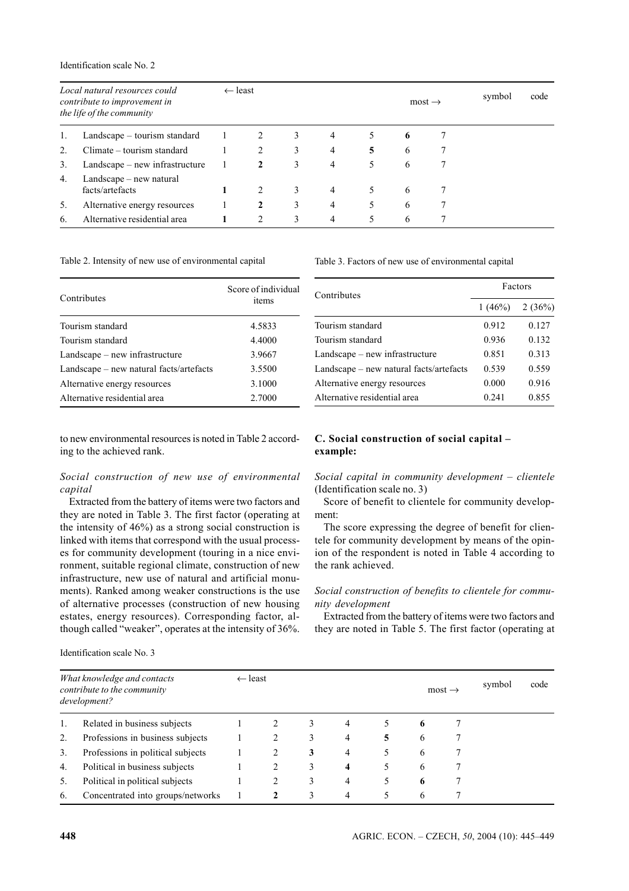#### Identification scale No. 2

| Local natural resources could<br>contribute to improvement in<br>the life of the community |                                            | $\leftarrow$ least |                |   |                | $most \rightarrow$ | symbol | code |  |
|--------------------------------------------------------------------------------------------|--------------------------------------------|--------------------|----------------|---|----------------|--------------------|--------|------|--|
|                                                                                            | Landscape - tourism standard               |                    |                | 3 | 4              |                    | 6      |      |  |
| 2.                                                                                         | Climate – tourism standard                 |                    | 2              | 3 | 4              | 5                  | 6      |      |  |
| 3.                                                                                         | Landscape - new infrastructure             |                    | 2              | 3 | $\overline{4}$ | 5                  | 6      |      |  |
| 4.                                                                                         | Landscape - new natural<br>facts/artefacts |                    | 2              | 3 | 4              |                    | 6      |      |  |
| 5.                                                                                         | Alternative energy resources               |                    | 2              | 3 | 4              |                    | 6      |      |  |
| 6.                                                                                         | Alternative residential area               |                    | $\mathfrak{D}$ | 3 | 4              | 5                  | 6      |      |  |

Table 2. Intensity of new use of environmental capital

Table 3. Factors of new use of environmental capital

| Contributes                             | Score of individual<br>items |
|-----------------------------------------|------------------------------|
| Tourism standard                        | 4.5833                       |
| Tourism standard                        | 4.4000                       |
| Landscape – new infrastructure          | 3.9667                       |
| Landscape – new natural facts/artefacts | 3.5500                       |
| Alternative energy resources            | 3.1000                       |
| Alternative residential area            | 2.7000                       |

Contributes Factors  $1 (46\%) \quad 2 (36\%)$ Tourism standard 0.912 0.127 Tourism standard 0.936 0.132 Landscape – new infrastructure  $0.851$  0.313 Landscape – new natural facts/artefacts 0.539 0.559 Alternative energy resources 0.000 0.916 Alternative residential area  $0.241$  0.855

to new environmental resources is noted in Table 2 according to the achieved rank.

# *Social construction of new use of environmental capital*

Extracted from the battery of items were two factors and they are noted in Table 3. The first factor (operating at the intensity of 46%) as a strong social construction is linked with items that correspond with the usual processes for community development (touring in a nice environment, suitable regional climate, construction of new infrastructure, new use of natural and artificial monuments). Ranked among weaker constructions is the use of alternative processes (construction of new housing estates, energy resources). Corresponding factor, although called "weaker", operates at the intensity of 36%.

# **C. Social construction of social capital – example:**

*Social capital in community development – clientele* (Identification scale no. 3)

Score of benefit to clientele for community development:

The score expressing the degree of benefit for clientele for community development by means of the opinion of the respondent is noted in Table 4 according to the rank achieved.

# *Social construction of benefits to clientele for community development*

Extracted from the battery of items were two factors and they are noted in Table 5. The first factor (operating at

Identification scale No. 3

|    | What knowledge and contacts<br>contribute to the community<br>development? | $\leftarrow$ least |   |   |                  |               | $most \rightarrow$ | symbol | code |
|----|----------------------------------------------------------------------------|--------------------|---|---|------------------|---------------|--------------------|--------|------|
| 1. | Related in business subjects                                               |                    |   | 3 | 4                |               | 6                  |        |      |
| 2. | Professions in business subjects                                           |                    |   | 3 | 4                | 5             | $\sigma$           |        |      |
| 3. | Professions in political subjects                                          |                    |   | 3 | 4                |               | 6                  |        |      |
| 4. | Political in business subjects                                             |                    | 2 | 3 | $\boldsymbol{4}$ |               | 6                  |        |      |
| 5. | Political in political subjects                                            |                    | 2 | 3 | 4                |               | 6                  |        |      |
| 6. | Concentrated into groups/networks                                          |                    | 2 | 3 | 4                | $\mathcal{L}$ | <sub>b</sub>       |        |      |